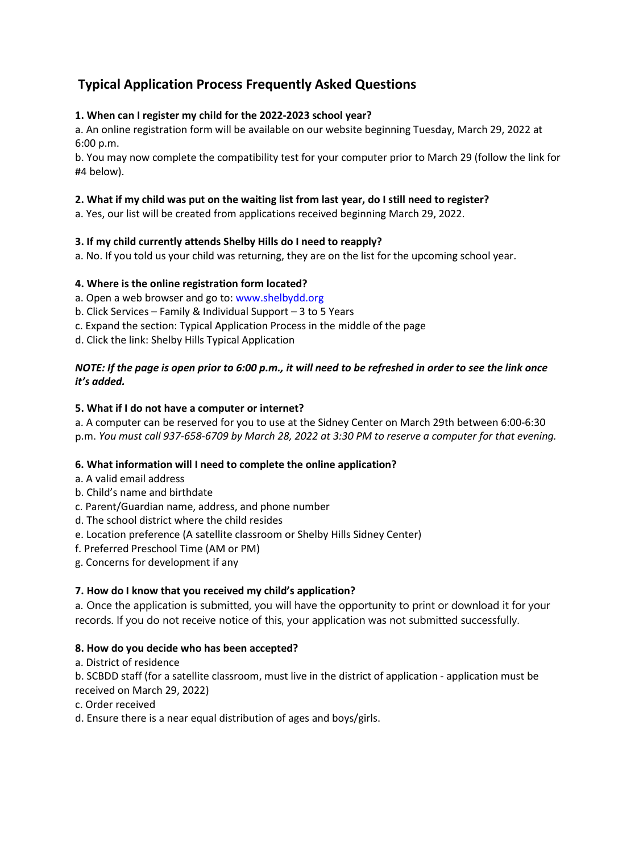# **Typical Application Process Frequently Asked Questions**

## **1. When can I register my child for the 2022-2023 school year?**

a. An online registration form will be available on our website beginning Tuesday, March 29, 2022 at 6:00 p.m.

b. You may now complete the compatibility test for your computer prior to March 29 (follow the link for #4 below).

## **2. What if my child was put on the waiting list from last year, do I still need to register?**

a. Yes, our list will be created from applications received beginning March 29, 2022.

### **3. If my child currently attends Shelby Hills do I need to reapply?**

a. No. If you told us your child was returning, they are on the list for the upcoming school year.

### **4. Where is the online registration form located?**

- a. Open a web browser and go to: www.shelbydd.org
- b. Click Services Family & Individual Support 3 to 5 Years
- c. Expand the section: Typical Application Process in the middle of the page
- d. Click the link: Shelby Hills Typical Application

#### *NOTE: If the page is open prior to 6:00 p.m., it will need to be refreshed in order to see the link once it's added.*

#### **5. What if I do not have a computer or internet?**

a. A computer can be reserved for you to use at the Sidney Center on March 29th between 6:00-6:30 p.m. *You must call 937-658-6709 by March 28, 2022 at 3:30 PM to reserve a computer for that evening.*

#### **6. What information will I need to complete the online application?**

- a. A valid email address
- b. Child's name and birthdate
- c. Parent/Guardian name, address, and phone number
- d. The school district where the child resides
- e. Location preference (A satellite classroom or Shelby Hills Sidney Center)
- f. Preferred Preschool Time (AM or PM)
- g. Concerns for development if any

## **7. How do I know that you received my child's application?**

a. Once the application is submitted, you will have the opportunity to print or download it for your records. If you do not receive notice of this, your application was not submitted successfully. 

## **8. How do you decide who has been accepted?**

a. District of residence

b. SCBDD staff (for a satellite classroom, must live in the district of application - application must be received on March 29, 2022)

c. Order received

d. Ensure there is a near equal distribution of ages and boys/girls.